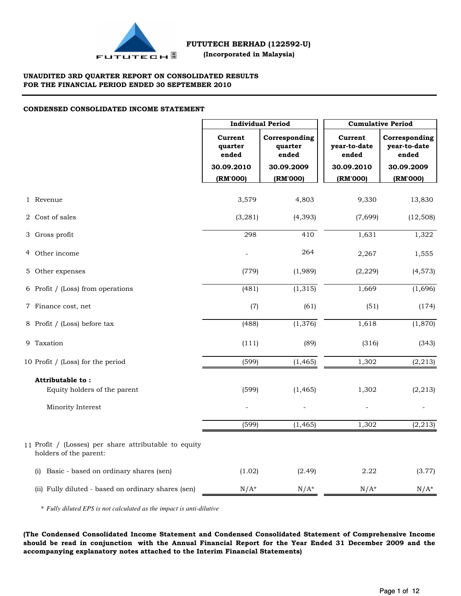

## **UNAUDITED 3RD QUARTER REPORT ON CONSOLIDATED RESULTS FOR THE FINANCIAL PERIOD ENDED 30 SEPTEMBER 2010**

## **CONDENSED CONSOLIDATED INCOME STATEMENT**

|                                                                                 |                             | <b>Individual Period</b>          |                                  | <b>Cumulative Period</b>               |
|---------------------------------------------------------------------------------|-----------------------------|-----------------------------------|----------------------------------|----------------------------------------|
|                                                                                 | Current<br>quarter<br>ended | Corresponding<br>quarter<br>ended | Current<br>year-to-date<br>ended | Corresponding<br>year-to-date<br>ended |
|                                                                                 | 30.09.2010                  | 30.09.2009                        | 30.09.2010                       | 30.09.2009                             |
|                                                                                 | (RM'000)                    | (RM'000)                          | (RM'000)                         | (RM'000)                               |
| 1 Revenue                                                                       | 3,579                       | 4,803                             | 9,330                            | 13,830                                 |
| 2 Cost of sales                                                                 | (3, 281)                    | (4, 393)                          | (7,699)                          | (12, 508)                              |
| 3 Gross profit                                                                  | 298                         | 410                               | 1,631                            | 1,322                                  |
| 4 Other income                                                                  |                             | 264                               | 2,267                            | 1,555                                  |
| 5 Other expenses                                                                | (779)                       | (1,989)                           | (2, 229)                         | (4, 573)                               |
| 6 Profit / (Loss) from operations                                               | (481)                       | (1, 315)                          | 1,669                            | (1,696)                                |
| 7 Finance cost, net                                                             | (7)                         | (61)                              | (51)                             | (174)                                  |
| 8 Profit / (Loss) before tax                                                    | (488)                       | (1, 376)                          | 1,618                            | (1,870)                                |
| 9 Taxation                                                                      | (111)                       | (89)                              | (316)                            | (343)                                  |
| 10 Profit / (Loss) for the period                                               | (599)                       | (1, 465)                          | 1,302                            | (2, 213)                               |
| Attributable to:                                                                |                             |                                   |                                  |                                        |
| Equity holders of the parent                                                    | (599)                       | (1, 465)                          | 1,302                            | (2, 213)                               |
| Minority Interest                                                               |                             |                                   |                                  |                                        |
|                                                                                 | (599)                       | (1, 465)                          | 1,302                            | (2, 213)                               |
| 11 Profit / (Losses) per share attributable to equity<br>holders of the parent: |                             |                                   |                                  |                                        |
| Basic - based on ordinary shares (sen)<br>(i)                                   | (1.02)                      | (2.49)                            | 2.22                             | (3.77)                                 |
| (ii) Fully diluted - based on ordinary shares (sen)                             | $N/A^*$                     | $N/A^*$                           | $N/A^*$                          | $N/A^*$                                |

\* *Fully diluted EPS is not calculated as the impact is anti-dilutive*

**(The Condensed Consolidated Income Statement and Condensed Consolidated Statement of Comprehensive Income should be read in conjunction with the Annual Financial Report for the Year Ended 31 December 2009 and the accompanying explanatory notes attached to the Interim Financial Statements)**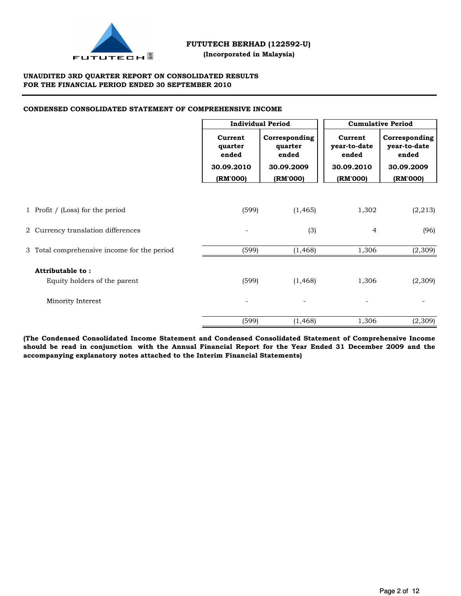

 **(Incorporated in Malaysia)**

## **UNAUDITED 3RD QUARTER REPORT ON CONSOLIDATED RESULTS FOR THE FINANCIAL PERIOD ENDED 30 SEPTEMBER 2010**

## **CONDENSED CONSOLIDATED STATEMENT OF COMPREHENSIVE INCOME**

|                                                  | <b>Individual Period</b>                              |                                                             |                                                            | <b>Cumulative Period</b>                                         |
|--------------------------------------------------|-------------------------------------------------------|-------------------------------------------------------------|------------------------------------------------------------|------------------------------------------------------------------|
|                                                  | Current<br>quarter<br>ended<br>30.09.2010<br>(RM'000) | Corresponding<br>quarter<br>ended<br>30.09.2009<br>(RM'000) | Current<br>year-to-date<br>ended<br>30.09.2010<br>(RM'000) | Corresponding<br>year-to-date<br>ended<br>30.09.2009<br>(RM'000) |
|                                                  |                                                       |                                                             |                                                            |                                                                  |
| 1 Profit / (Loss) for the period                 | (599)                                                 | (1, 465)                                                    | 1,302                                                      | (2, 213)                                                         |
| 2 Currency translation differences               | $\overline{a}$                                        | (3)                                                         | $\overline{4}$                                             | (96)                                                             |
| 3 Total comprehensive income for the period      | (599)                                                 | (1, 468)                                                    | 1,306                                                      | (2,309)                                                          |
| Attributable to:<br>Equity holders of the parent | (599)                                                 | (1, 468)                                                    | 1,306                                                      | (2,309)                                                          |
| Minority Interest                                |                                                       | $\overline{a}$                                              |                                                            |                                                                  |
|                                                  | (599)                                                 | (1, 468)                                                    | 1,306                                                      | (2, 309)                                                         |

**(The Condensed Consolidated Income Statement and Condensed Consolidated Statement of Comprehensive Income should be read in conjunction with the Annual Financial Report for the Year Ended 31 December 2009 and the accompanying explanatory notes attached to the Interim Financial Statements)**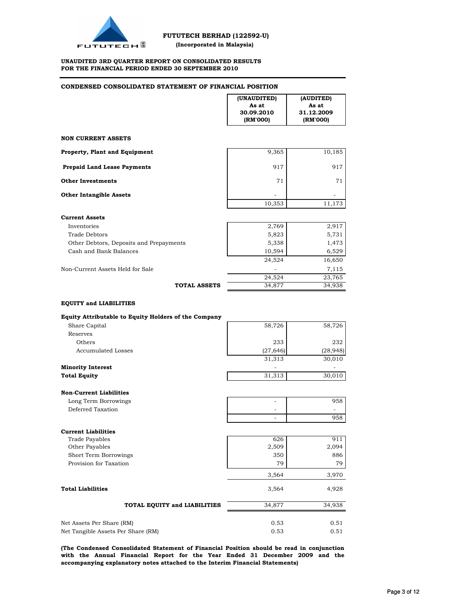

#### **UNAUDITED 3RD QUARTER REPORT ON CONSOLIDATED RESULTS FOR THE FINANCIAL PERIOD ENDED 30 SEPTEMBER 2010**

### **CONDENSED CONSOLIDATED STATEMENT OF FINANCIAL POSITION**

|                                                                                   | (UNAUDITED)<br>As at<br>30.09.2010<br>(RM'000) | (AUDITED)<br>As at<br>31.12.2009<br>(RM'000) |
|-----------------------------------------------------------------------------------|------------------------------------------------|----------------------------------------------|
| <b>NON CURRENT ASSETS</b>                                                         |                                                |                                              |
| <b>Property, Plant and Equipment</b>                                              | 9,365                                          | 10,185                                       |
| <b>Prepaid Land Lease Payments</b>                                                | 917                                            | 917                                          |
| <b>Other Investments</b>                                                          | 71                                             | 71                                           |
| <b>Other Intangible Assets</b>                                                    | 10,353                                         | 11,173                                       |
| <b>Current Assets</b>                                                             |                                                |                                              |
| Inventories                                                                       | 2,769                                          | 2,917                                        |
| <b>Trade Debtors</b>                                                              | 5,823                                          | 5,731                                        |
| Other Debtors, Deposits and Prepayments                                           | 5,338                                          | 1,473                                        |
| Cash and Bank Balances                                                            | 10,594                                         | 6,529                                        |
|                                                                                   | 24,524                                         | 16,650                                       |
| Non-Current Assets Held for Sale                                                  |                                                |                                              |
|                                                                                   |                                                | 7,115                                        |
| <b>TOTAL ASSETS</b>                                                               | 24,524<br>34,877                               | 23,765<br>34,938                             |
| Equity Attributable to Equity Holders of the Company<br>Share Capital<br>Reserves | 58,726                                         | 58,726                                       |
| Others                                                                            | 233                                            | 232                                          |
| <b>Accumulated Losses</b>                                                         | (27, 646)                                      | (28, 948)                                    |
|                                                                                   | 31,313                                         | 30,010                                       |
| <b>Minority Interest</b>                                                          |                                                |                                              |
| <b>Total Equity</b>                                                               | 31,313                                         | 30,010                                       |
|                                                                                   |                                                |                                              |
| <b>Non-Current Liabilities</b>                                                    |                                                |                                              |
| Long Term Borrowings                                                              | ٠                                              | 958                                          |
| Deferred Taxation                                                                 |                                                |                                              |
|                                                                                   | $\overline{\phantom{a}}$                       | 958                                          |
| <b>Current Liabilities</b>                                                        |                                                |                                              |
| <b>Trade Payables</b>                                                             | 626                                            | 911                                          |
| Other Payables                                                                    | 2,509                                          | 2,094                                        |
| Short Term Borrowings                                                             | 350                                            | 886                                          |
| Provision for Taxation                                                            | 79                                             | 79                                           |
|                                                                                   | 3,564                                          | 3,970                                        |
| <b>Total Liabilities</b>                                                          | 3,564                                          | 4,928                                        |
| TOTAL EQUITY and LIABILITIES                                                      | 34,877                                         | 34,938                                       |
|                                                                                   |                                                |                                              |

| 0.53 | 0.51 |
|------|------|
| 0.53 | 0.51 |
|      |      |

**(The Condensed Consolidated Statement of Financial Position should be read in conjunction with the Annual Financial Report for the Year Ended 31 December 2009 and the accompanying explanatory notes attached to the Interim Financial Statements)**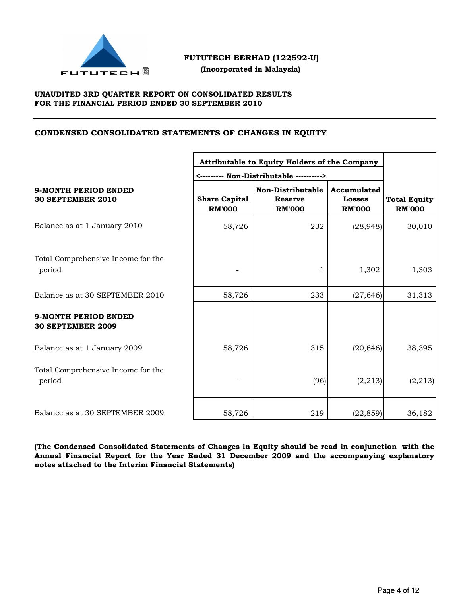

 **(Incorporated in Malaysia)**

## **UNAUDITED 3RD QUARTER REPORT ON CONSOLIDATED RESULTS FOR THE FINANCIAL PERIOD ENDED 30 SEPTEMBER 2010**

## **CONDENSED CONSOLIDATED STATEMENTS OF CHANGES IN EQUITY**

|                                                         | Attributable to Equity Holders of the Company |                                                      |                                               |                                      |  |
|---------------------------------------------------------|-----------------------------------------------|------------------------------------------------------|-----------------------------------------------|--------------------------------------|--|
|                                                         |                                               |                                                      |                                               |                                      |  |
| 9-MONTH PERIOD ENDED<br><b>30 SEPTEMBER 2010</b>        | <b>Share Capital</b><br><b>RM'000</b>         | Non-Distributable<br><b>Reserve</b><br><b>RM'000</b> | Accumulated<br><b>Losses</b><br><b>RM'000</b> | <b>Total Equity</b><br><b>RM'000</b> |  |
| Balance as at 1 January 2010                            | 58,726                                        | 232                                                  | (28, 948)                                     | 30,010                               |  |
| Total Comprehensive Income for the<br>period            |                                               | 1                                                    | 1,302                                         | 1,303                                |  |
| Balance as at 30 SEPTEMBER 2010                         | 58,726                                        | 233                                                  | (27, 646)                                     | 31,313                               |  |
| <b>9-MONTH PERIOD ENDED</b><br><b>30 SEPTEMBER 2009</b> |                                               |                                                      |                                               |                                      |  |
| Balance as at 1 January 2009                            | 58,726                                        | 315                                                  | (20, 646)                                     | 38,395                               |  |
| Total Comprehensive Income for the<br>period            |                                               | (96)                                                 | (2, 213)                                      | (2, 213)                             |  |
| Balance as at 30 SEPTEMBER 2009                         | 58,726                                        | 219                                                  | (22, 859)                                     | 36,182                               |  |

**(The Condensed Consolidated Statements of Changes in Equity should be read in conjunction with the Annual Financial Report for the Year Ended 31 December 2009 and the accompanying explanatory notes attached to the Interim Financial Statements)**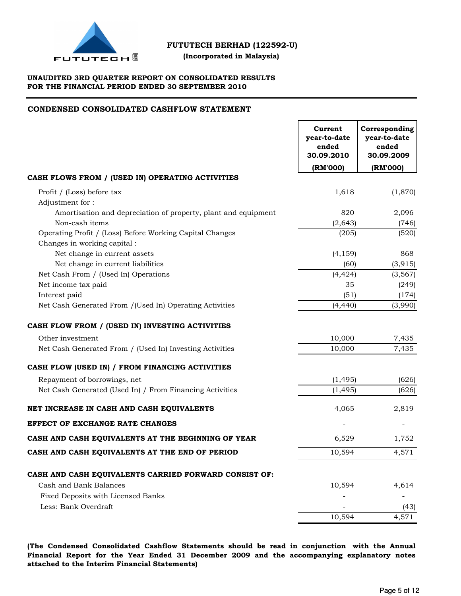

## **(Incorporated in Malaysia)**

## **UNAUDITED 3RD QUARTER REPORT ON CONSOLIDATED RESULTS FOR THE FINANCIAL PERIOD ENDED 30 SEPTEMBER 2010**

## **CONDENSED CONSOLIDATED CASHFLOW STATEMENT**

| (RM'000)<br>(RM'000)<br>Profit / (Loss) before tax<br>1,618<br>(1,870)<br>Adjustment for:<br>Amortisation and depreciation of property, plant and equipment<br>820<br>2,096<br>Non-cash items<br>(2,643)<br>(746)<br>(205)<br>Operating Profit / (Loss) Before Working Capital Changes<br>(520)<br>Changes in working capital :<br>Net change in current assets<br>(4, 159)<br>868<br>Net change in current liabilities<br>(60)<br>(3, 915)<br>Net Cash From / (Used In) Operations<br>(4, 424)<br>(3, 567)<br>Net income tax paid<br>35<br>(249)<br>Interest paid<br>(51)<br>(174)<br>(4, 440)<br>(3,990)<br>Net Cash Generated From / (Used In) Operating Activities<br>10,000<br>Other investment<br>7,435<br>7,435<br>Net Cash Generated From / (Used In) Investing Activities<br>10,000<br>Repayment of borrowings, net<br>(1, 495)<br>(626)<br>Net Cash Generated (Used In) / From Financing Activities<br>(1, 495)<br>(626)<br>4,065<br>2,819<br>6,529<br>1,752<br>10,594<br>4,571<br>CASH AND CASH EQUIVALENTS CARRIED FORWARD CONSIST OF:<br>Cash and Bank Balances<br>10,594<br>4,614<br>Fixed Deposits with Licensed Banks<br>Less: Bank Overdraft<br>(43) |                                                    | Current<br>year-to-date<br>ended<br>30.09.2010 | Corresponding<br>year-to-date<br>ended<br>30.09.2009 |
|-----------------------------------------------------------------------------------------------------------------------------------------------------------------------------------------------------------------------------------------------------------------------------------------------------------------------------------------------------------------------------------------------------------------------------------------------------------------------------------------------------------------------------------------------------------------------------------------------------------------------------------------------------------------------------------------------------------------------------------------------------------------------------------------------------------------------------------------------------------------------------------------------------------------------------------------------------------------------------------------------------------------------------------------------------------------------------------------------------------------------------------------------------------------------|----------------------------------------------------|------------------------------------------------|------------------------------------------------------|
|                                                                                                                                                                                                                                                                                                                                                                                                                                                                                                                                                                                                                                                                                                                                                                                                                                                                                                                                                                                                                                                                                                                                                                       |                                                    |                                                |                                                      |
|                                                                                                                                                                                                                                                                                                                                                                                                                                                                                                                                                                                                                                                                                                                                                                                                                                                                                                                                                                                                                                                                                                                                                                       | CASH FLOWS FROM / (USED IN) OPERATING ACTIVITIES   |                                                |                                                      |
|                                                                                                                                                                                                                                                                                                                                                                                                                                                                                                                                                                                                                                                                                                                                                                                                                                                                                                                                                                                                                                                                                                                                                                       |                                                    |                                                |                                                      |
|                                                                                                                                                                                                                                                                                                                                                                                                                                                                                                                                                                                                                                                                                                                                                                                                                                                                                                                                                                                                                                                                                                                                                                       |                                                    |                                                |                                                      |
|                                                                                                                                                                                                                                                                                                                                                                                                                                                                                                                                                                                                                                                                                                                                                                                                                                                                                                                                                                                                                                                                                                                                                                       |                                                    |                                                |                                                      |
|                                                                                                                                                                                                                                                                                                                                                                                                                                                                                                                                                                                                                                                                                                                                                                                                                                                                                                                                                                                                                                                                                                                                                                       |                                                    |                                                |                                                      |
|                                                                                                                                                                                                                                                                                                                                                                                                                                                                                                                                                                                                                                                                                                                                                                                                                                                                                                                                                                                                                                                                                                                                                                       |                                                    |                                                |                                                      |
|                                                                                                                                                                                                                                                                                                                                                                                                                                                                                                                                                                                                                                                                                                                                                                                                                                                                                                                                                                                                                                                                                                                                                                       |                                                    |                                                |                                                      |
|                                                                                                                                                                                                                                                                                                                                                                                                                                                                                                                                                                                                                                                                                                                                                                                                                                                                                                                                                                                                                                                                                                                                                                       |                                                    |                                                |                                                      |
|                                                                                                                                                                                                                                                                                                                                                                                                                                                                                                                                                                                                                                                                                                                                                                                                                                                                                                                                                                                                                                                                                                                                                                       |                                                    |                                                |                                                      |
|                                                                                                                                                                                                                                                                                                                                                                                                                                                                                                                                                                                                                                                                                                                                                                                                                                                                                                                                                                                                                                                                                                                                                                       |                                                    |                                                |                                                      |
|                                                                                                                                                                                                                                                                                                                                                                                                                                                                                                                                                                                                                                                                                                                                                                                                                                                                                                                                                                                                                                                                                                                                                                       |                                                    |                                                |                                                      |
|                                                                                                                                                                                                                                                                                                                                                                                                                                                                                                                                                                                                                                                                                                                                                                                                                                                                                                                                                                                                                                                                                                                                                                       |                                                    |                                                |                                                      |
|                                                                                                                                                                                                                                                                                                                                                                                                                                                                                                                                                                                                                                                                                                                                                                                                                                                                                                                                                                                                                                                                                                                                                                       | CASH FLOW FROM / (USED IN) INVESTING ACTIVITIES    |                                                |                                                      |
|                                                                                                                                                                                                                                                                                                                                                                                                                                                                                                                                                                                                                                                                                                                                                                                                                                                                                                                                                                                                                                                                                                                                                                       |                                                    |                                                |                                                      |
|                                                                                                                                                                                                                                                                                                                                                                                                                                                                                                                                                                                                                                                                                                                                                                                                                                                                                                                                                                                                                                                                                                                                                                       |                                                    |                                                |                                                      |
|                                                                                                                                                                                                                                                                                                                                                                                                                                                                                                                                                                                                                                                                                                                                                                                                                                                                                                                                                                                                                                                                                                                                                                       | CASH FLOW (USED IN) / FROM FINANCING ACTIVITIES    |                                                |                                                      |
|                                                                                                                                                                                                                                                                                                                                                                                                                                                                                                                                                                                                                                                                                                                                                                                                                                                                                                                                                                                                                                                                                                                                                                       |                                                    |                                                |                                                      |
|                                                                                                                                                                                                                                                                                                                                                                                                                                                                                                                                                                                                                                                                                                                                                                                                                                                                                                                                                                                                                                                                                                                                                                       |                                                    |                                                |                                                      |
|                                                                                                                                                                                                                                                                                                                                                                                                                                                                                                                                                                                                                                                                                                                                                                                                                                                                                                                                                                                                                                                                                                                                                                       | NET INCREASE IN CASH AND CASH EQUIVALENTS          |                                                |                                                      |
|                                                                                                                                                                                                                                                                                                                                                                                                                                                                                                                                                                                                                                                                                                                                                                                                                                                                                                                                                                                                                                                                                                                                                                       | <b>EFFECT OF EXCHANGE RATE CHANGES</b>             |                                                |                                                      |
|                                                                                                                                                                                                                                                                                                                                                                                                                                                                                                                                                                                                                                                                                                                                                                                                                                                                                                                                                                                                                                                                                                                                                                       | CASH AND CASH EQUIVALENTS AT THE BEGINNING OF YEAR |                                                |                                                      |
|                                                                                                                                                                                                                                                                                                                                                                                                                                                                                                                                                                                                                                                                                                                                                                                                                                                                                                                                                                                                                                                                                                                                                                       | CASH AND CASH EQUIVALENTS AT THE END OF PERIOD     |                                                |                                                      |
|                                                                                                                                                                                                                                                                                                                                                                                                                                                                                                                                                                                                                                                                                                                                                                                                                                                                                                                                                                                                                                                                                                                                                                       |                                                    |                                                |                                                      |
|                                                                                                                                                                                                                                                                                                                                                                                                                                                                                                                                                                                                                                                                                                                                                                                                                                                                                                                                                                                                                                                                                                                                                                       |                                                    |                                                |                                                      |
|                                                                                                                                                                                                                                                                                                                                                                                                                                                                                                                                                                                                                                                                                                                                                                                                                                                                                                                                                                                                                                                                                                                                                                       |                                                    |                                                |                                                      |
|                                                                                                                                                                                                                                                                                                                                                                                                                                                                                                                                                                                                                                                                                                                                                                                                                                                                                                                                                                                                                                                                                                                                                                       |                                                    |                                                |                                                      |
|                                                                                                                                                                                                                                                                                                                                                                                                                                                                                                                                                                                                                                                                                                                                                                                                                                                                                                                                                                                                                                                                                                                                                                       |                                                    | 10,594                                         | 4,571                                                |

**(The Condensed Consolidated Cashflow Statements should be read in conjunction with the Annual Financial Report for the Year Ended 31 December 2009 and the accompanying explanatory notes attached to the Interim Financial Statements)**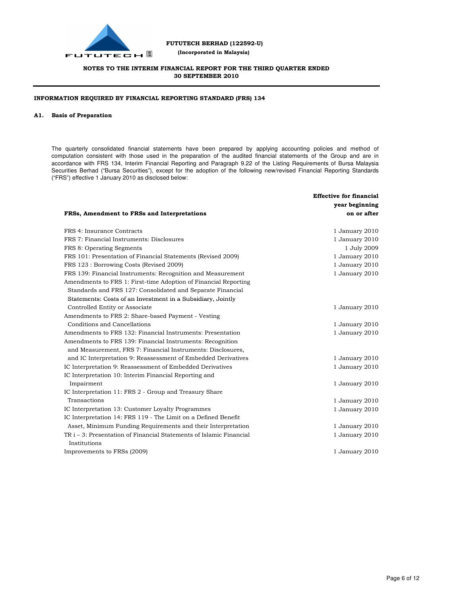

 **(Incorporated in Malaysia)**

## **NOTES TO THE INTERIM FINANCIAL REPORT FOR THE THIRD QUARTER ENDED 30 SEPTEMBER 2010**

### **INFORMATION REQUIRED BY FINANCIAL REPORTING STANDARD (FRS) 134**

#### **A1. Basis of Preparation**

The quarterly consolidated financial statements have been prepared by applying accounting policies and method of computation consistent with those used in the preparation of the audited financial statements of the Group and are in accordance with FRS 134, Interim Financial Reporting and Paragraph 9.22 of the Listing Requirements of Bursa Malaysia Securities Berhad ("Bursa Securities"), except for the adoption of the following new/revised Financial Reporting Standards ("FRS") effective 1 January 2010 as disclosed below:

|                                                                     | <b>Effective for financial</b> |
|---------------------------------------------------------------------|--------------------------------|
|                                                                     | year beginning                 |
| FRSs, Amendment to FRSs and Interpretations                         | on or after                    |
| FRS 4: Insurance Contracts                                          | 1 January 2010                 |
| FRS 7: Financial Instruments: Disclosures                           | 1 January 2010                 |
| FRS 8: Operating Segments                                           | 1 July 2009                    |
| FRS 101: Presentation of Financial Statements (Revised 2009)        | 1 January 2010                 |
| FRS 123 : Borrowing Costs (Revised 2009)                            | 1 January 2010                 |
| FRS 139: Financial Instruments: Recognition and Measurement         | 1 January 2010                 |
| Amendments to FRS 1: First-time Adoption of Financial Reporting     |                                |
| Standards and FRS 127: Consolidated and Separate Financial          |                                |
| Statements: Costs of an Investment in a Subsidiary, Jointly         |                                |
| Controlled Entity or Associate                                      | 1 January 2010                 |
| Amendments to FRS 2: Share-based Payment - Vesting                  |                                |
| Conditions and Cancellations                                        | 1 January 2010                 |
| Amendments to FRS 132: Financial Instruments: Presentation          | 1 January 2010                 |
| Amendments to FRS 139: Financial Instruments: Recognition           |                                |
| and Measurement, FRS 7: Financial Instruments: Disclosures,         |                                |
| and IC Interpretation 9: Reassessment of Embedded Derivatives       | 1 January 2010                 |
| IC Interpretation 9: Reassessment of Embedded Derivatives           | 1 January 2010                 |
| IC Interpretation 10: Interim Financial Reporting and               |                                |
| Impairment                                                          | 1 January 2010                 |
| IC Interpretation 11: FRS 2 - Group and Treasury Share              |                                |
| Transactions                                                        | 1 January 2010                 |
| IC Interpretation 13: Customer Loyalty Programmes                   | 1 January 2010                 |
| IC Interpretation 14: FRS 119 - The Limit on a Defined Benefit      |                                |
| Asset, Minimum Funding Requirements and their Interpretation        | 1 January 2010                 |
| TR i – 3: Presentation of Financial Statements of Islamic Financial | 1 January 2010                 |
| Institutions                                                        |                                |
| Improvements to FRSs (2009)                                         | 1 January 2010                 |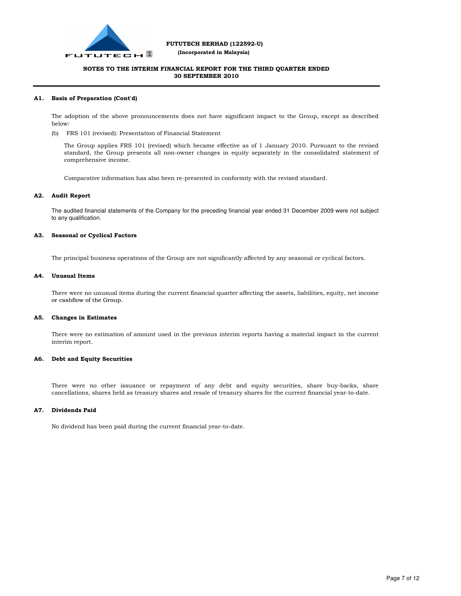

 **(Incorporated in Malaysia)**

## **NOTES TO THE INTERIM FINANCIAL REPORT FOR THE THIRD QUARTER ENDED 30 SEPTEMBER 2010**

#### **A1. Basis of Preparation (Cont'd)**

The adoption of the above pronouncements does not have significant impact to the Group, except as described below:

(b) FRS 101 (revised): Presentation of Financial Statement

The Group applies FRS 101 (revised) which became effective as of 1 January 2010. Pursuant to the revised standard, the Group presents all non-owner changes in equity separately in the consolidated statement of comprehensive income.

Comparative information has also been re-presented in conformity with the revised standard.

#### **A2. Audit Report**

The audited financial statements of the Company for the preceding financial year ended 31 December 2009 were not subject to any qualification.

#### **A3. Seasonal or Cyclical Factors**

The principal business operations of the Group are not significantly affected by any seasonal or cyclical factors.

#### **A4. Unusual Items**

There were no unusual items during the current financial quarter affecting the assets, liabilities, equity, net income or cashflow of the Group.

#### **A5. Changes in Estimates**

There were no estimation of amount used in the previous interim reports having a material impact in the current interim report.

#### **A6. Debt and Equity Securities**

There were no other issuance or repayment of any debt and equity securities, share buy-backs, share cancellations, shares held as treasury shares and resale of treasury shares for the current financial year-to-date.

#### **A7. Dividends Paid**

No dividend has been paid during the current financial year-to-date.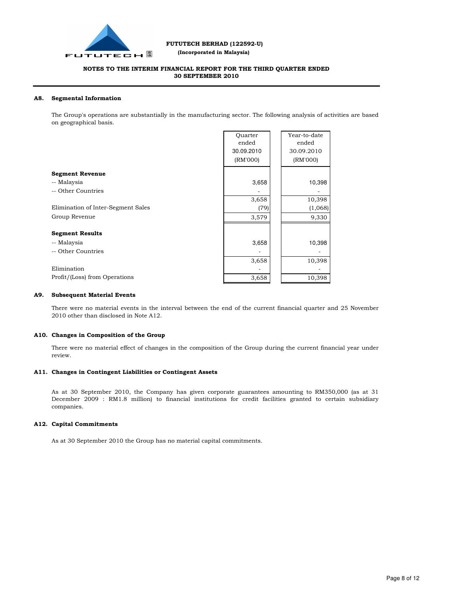

 **(Incorporated in Malaysia)**

### **NOTES TO THE INTERIM FINANCIAL REPORT FOR THE THIRD QUARTER ENDED 30 SEPTEMBER 2010**

#### **A8. Segmental Information**

The Group's operations are substantially in the manufacturing sector. The following analysis of activities are based on geographical basis.

|                                    | Ouarter    | Year-to-date |
|------------------------------------|------------|--------------|
|                                    | ended      | ended        |
|                                    | 30.09.2010 | 30.09.2010   |
|                                    | (RM'000)   | (RM'000)     |
| <b>Segment Revenue</b>             |            |              |
| -- Malaysia                        | 3,658      | 10,398       |
| -- Other Countries                 |            |              |
|                                    | 3,658      | 10,398       |
| Elimination of Inter-Segment Sales | (79)       | (1,068)      |
| Group Revenue                      | 3,579      | 9,330        |
|                                    |            |              |
| <b>Segment Results</b>             |            |              |
| -- Malaysia                        | 3,658      | 10,398       |
| -- Other Countries                 |            |              |
|                                    | 3,658      | 10,398       |
| Elimination                        |            |              |
| Profit/(Loss) from Operations      | 3,658      | 10,398       |

#### **A9. Subsequent Material Events**

There were no material events in the interval between the end of the current financial quarter and 25 November 2010 other than disclosed in Note A12.

#### **A10. Changes in Composition of the Group**

There were no material effect of changes in the composition of the Group during the current financial year under review.

#### **A11. Changes in Contingent Liabilities or Contingent Assets**

As at 30 September 2010, the Company has given corporate guarantees amounting to RM350,000 (as at 31 December 2009 : RM1.8 million) to financial institutions for credit facilities granted to certain subsidiary companies.

#### **A12. Capital Commitments**

As at 30 September 2010 the Group has no material capital commitments.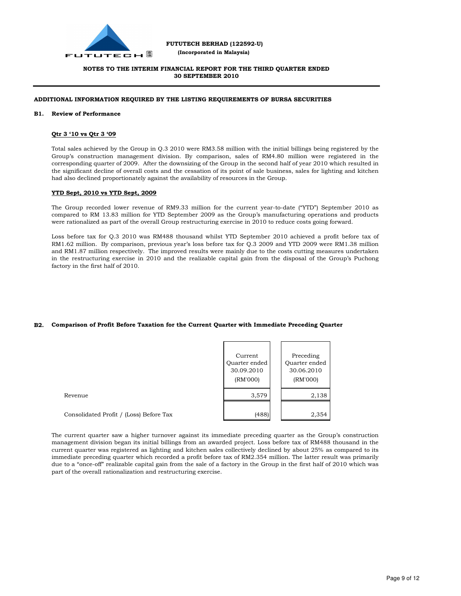

 **(Incorporated in Malaysia)**

### **NOTES TO THE INTERIM FINANCIAL REPORT FOR THE THIRD QUARTER ENDED 30 SEPTEMBER 2010**

### **ADDITIONAL INFORMATION REQUIRED BY THE LISTING REQUIREMENTS OF BURSA SECURITIES**

#### **B1. Review of Performance**

#### **Qtr 3 '10 vs Qtr 3 '09**

Total sales achieved by the Group in Q.3 2010 were RM3.58 million with the initial billings being registered by the Group's construction management division. By comparison, sales of RM4.80 million were registered in the corresponding quarter of 2009. After the downsizing of the Group in the second half of year 2010 which resulted in the significant decline of overall costs and the cessation of its point of sale business, sales for lighting and kitchen had also declined proportionately against the availability of resources in the Group.

#### **YTD Sept, 2010 vs YTD Sept, 2009**

The Group recorded lower revenue of RM9.33 million for the current year-to-date ("YTD") September 2010 as compared to RM 13.83 million for YTD September 2009 as the Group's manufacturing operations and products were rationalized as part of the overall Group restructuring exercise in 2010 to reduce costs going forward.

Loss before tax for Q.3 2010 was RM488 thousand whilst YTD September 2010 achieved a profit before tax of RM1.62 million. By comparison, previous year's loss before tax for Q.3 2009 and YTD 2009 were RM1.38 million and RM1.87 million respectively. The improved results were mainly due to the costs cutting measures undertaken in the restructuring exercise in 2010 and the realizable capital gain from the disposal of the Group's Puchong factory in the first half of 2010.

#### **B2. Comparison of Profit Before Taxation for the Current Quarter with Immediate Preceding Quarter**

|                                         | Current<br>Quarter ended<br>30.09.2010<br>(RM'000) | Preceding<br>Quarter ended<br>30.06.2010<br>(RM'000) |
|-----------------------------------------|----------------------------------------------------|------------------------------------------------------|
| Revenue                                 | 3,579                                              | 2,138                                                |
| Consolidated Profit / (Loss) Before Tax | (488)                                              | 2,354                                                |

The current quarter saw a higher turnover against its immediate preceding quarter as the Group's construction management division began its initial billings from an awarded project. Loss before tax of RM488 thousand in the current quarter was registered as lighting and kitchen sales collectively declined by about 25% as compared to its immediate preceding quarter which recorded a profit before tax of RM2.354 million. The latter result was primarily due to a "once-off" realizable capital gain from the sale of a factory in the Group in the first half of 2010 which was part of the overall rationalization and restructuring exercise.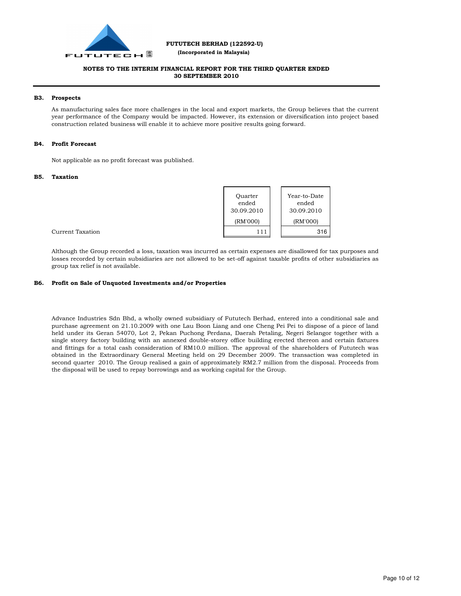

 **(Incorporated in Malaysia)**

## **NOTES TO THE INTERIM FINANCIAL REPORT FOR THE THIRD QUARTER ENDED 30 SEPTEMBER 2010**

#### **B3. Prospects**

As manufacturing sales face more challenges in the local and export markets, the Group believes that the current year performance of the Company would be impacted. However, its extension or diversification into project based construction related business will enable it to achieve more positive results going forward.

#### **B4. Profit Forecast**

Not applicable as no profit forecast was published.

#### **B5. Taxation**

| Ouarter    | Year-to-Date |
|------------|--------------|
| ended      | ended        |
| 30.09.2010 | 30.09.2010   |
| (RM'000)   | (RM'000)     |
| 111        | 316          |

Current Taxation

Although the Group recorded a loss, taxation was incurred as certain expenses are disallowed for tax purposes and losses recorded by certain subsidiaries are not allowed to be set-off against taxable profits of other subsidiaries as group tax relief is not available.

#### **B6. Profit on Sale of Unquoted Investments and/or Properties**

Advance Industries Sdn Bhd, a wholly owned subsidiary of Fututech Berhad, entered into a conditional sale and purchase agreement on 21.10.2009 with one Lau Boon Liang and one Cheng Pei Pei to dispose of a piece of land held under its Geran 54070, Lot 2, Pekan Puchong Perdana, Daerah Petaling, Negeri Selangor together with a single storey factory building with an annexed double-storey office building erected thereon and certain fixtures and fittings for a total cash consideration of RM10.0 million. The approval of the shareholders of Fututech was obtained in the Extraordinary General Meeting held on 29 December 2009. The transaction was completed in second quarter 2010. The Group realised a gain of approximately RM2.7 million from the disposal. Proceeds from the disposal will be used to repay borrowings and as working capital for the Group.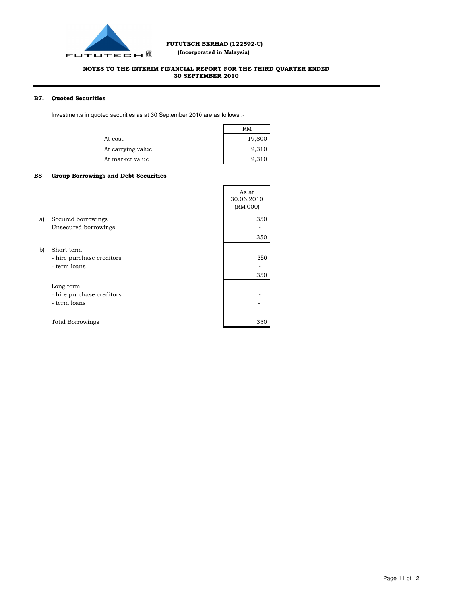

 **(Incorporated in Malaysia)**

## **NOTES TO THE INTERIM FINANCIAL REPORT FOR THE THIRD QUARTER ENDED 30 SEPTEMBER 2010**

#### **B7. Quoted Securities**

Investments in quoted securities as at 30 September 2010 are as follows :-

|                   | RM     |
|-------------------|--------|
| At cost           | 19,800 |
| At carrying value | 2,310  |
| At market value   | 2,310  |

#### **B8 Group Borrowings and Debt Securities**

|    |                                                         | As at<br>30.06.2010<br>(RM'000) |
|----|---------------------------------------------------------|---------------------------------|
| a) | Secured borrowings                                      | 350                             |
|    | Unsecured borrowings                                    |                                 |
|    |                                                         | 350                             |
| b) | Short term<br>- hire purchase creditors<br>- term loans | 350                             |
|    |                                                         | 350                             |
|    | Long term<br>- hire purchase creditors                  |                                 |
|    | - term loans                                            |                                 |
|    |                                                         |                                 |
|    | <b>Total Borrowings</b>                                 | 350                             |